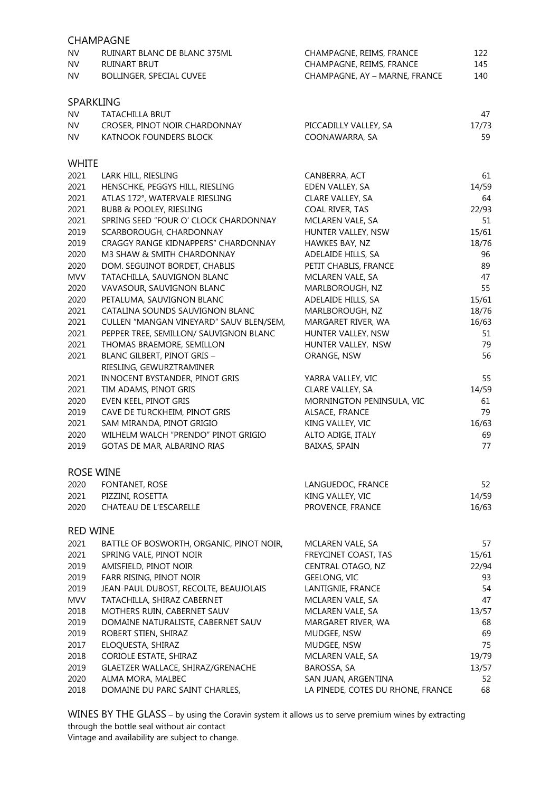|                  | <b>CHAMPAGNE</b>                                                     |                                     |             |
|------------------|----------------------------------------------------------------------|-------------------------------------|-------------|
| <b>NV</b>        | RUINART BLANC DE BLANC 375ML                                         | CHAMPAGNE, REIMS, FRANCE            | 122         |
| <b>NV</b>        | RUINART BRUT                                                         | CHAMPAGNE, REIMS, FRANCE            | 145         |
| <b>NV</b>        | BOLLINGER, SPECIAL CUVEE                                             | CHAMPAGNE, AY - MARNE, FRANCE       | 140         |
|                  |                                                                      |                                     |             |
| <b>SPARKLING</b> |                                                                      |                                     |             |
| <b>NV</b>        | TATACHILLA BRUT                                                      |                                     | 47          |
| <b>NV</b>        | CROSER, PINOT NOIR CHARDONNAY                                        | PICCADILLY VALLEY, SA               | 17/73       |
| <b>NV</b>        | KATNOOK FOUNDERS BLOCK                                               | COONAWARRA, SA                      | 59          |
|                  |                                                                      |                                     |             |
| <b>WHITE</b>     |                                                                      |                                     |             |
| 2021<br>2021     | LARK HILL, RIESLING                                                  | CANBERRA, ACT                       | 61          |
| 2021             | HENSCHKE, PEGGYS HILL, RIESLING                                      | EDEN VALLEY, SA                     | 14/59<br>64 |
| 2021             | ATLAS 172°, WATERVALE RIESLING<br><b>BUBB &amp; POOLEY, RIESLING</b> | CLARE VALLEY, SA<br>COAL RIVER, TAS |             |
| 2021             | SPRING SEED "FOUR O' CLOCK CHARDONNAY                                | MCLAREN VALE, SA                    | 22/93<br>51 |
| 2019             |                                                                      | HUNTER VALLEY, NSW                  | 15/61       |
| 2019             | SCARBOROUGH, CHARDONNAY<br>CRAGGY RANGE KIDNAPPERS" CHARDONNAY       | HAWKES BAY, NZ                      | 18/76       |
| 2020             | M3 SHAW & SMITH CHARDONNAY                                           | ADELAIDE HILLS, SA                  | 96          |
| 2020             | DOM. SEGUINOT BORDET, CHABLIS                                        | PETIT CHABLIS, FRANCE               | 89          |
| <b>MVV</b>       | TATACHILLA, SAUVIGNON BLANC                                          | MCLAREN VALE, SA                    | 47          |
| 2020             | VAVASOUR, SAUVIGNON BLANC                                            | MARLBOROUGH, NZ                     | 55          |
| 2020             | PETALUMA, SAUVIGNON BLANC                                            | ADELAIDE HILLS, SA                  | 15/61       |
| 2021             | CATALINA SOUNDS SAUVIGNON BLANC                                      | MARLBOROUGH, NZ                     | 18/76       |
| 2021             | CULLEN "MANGAN VINEYARD" SAUV BLEN/SEM,                              | MARGARET RIVER, WA                  | 16/63       |
| 2021             | PEPPER TREE, SEMILLON/ SAUVIGNON BLANC                               | HUNTER VALLEY, NSW                  | 51          |
| 2021             | THOMAS BRAEMORE, SEMILLON                                            | HUNTER VALLEY, NSW                  | 79          |
| 2021             | BLANC GILBERT, PINOT GRIS -                                          | ORANGE, NSW                         | 56          |
|                  | RIESLING, GEWURZTRAMINER                                             |                                     |             |
| 2021             | INNOCENT BYSTANDER, PINOT GRIS                                       | YARRA VALLEY, VIC                   | 55          |
| 2021             | TIM ADAMS, PINOT GRIS                                                | CLARE VALLEY, SA                    | 14/59       |
| 2020             | EVEN KEEL, PINOT GRIS                                                | MORNINGTON PENINSULA, VIC           | 61          |
| 2019             | CAVE DE TURCKHEIM, PINOT GRIS                                        | ALSACE, FRANCE                      | 79          |
| 2021             | SAM MIRANDA, PINOT GRIGIO                                            | KING VALLEY, VIC                    | 16/63       |
| 2020             | WILHELM WALCH "PRENDO" PINOT GRIGIO                                  | ALTO ADIGE, ITALY                   | 69          |
| 2019             | GOTAS DE MAR, ALBARINO RIAS                                          | BAIXAS, SPAIN                       | 77          |
|                  |                                                                      |                                     |             |
| <b>ROSE WINE</b> |                                                                      |                                     |             |
| 2020             | FONTANET, ROSE                                                       | LANGUEDOC, FRANCE                   | 52          |
| 2021             | PIZZINI, ROSETTA                                                     | KING VALLEY, VIC                    | 14/59       |
| 2020             | CHATEAU DE L'ESCARELLE                                               | PROVENCE, FRANCE                    | 16/63       |
| <b>RED WINE</b>  |                                                                      |                                     |             |
| 2021             | BATTLE OF BOSWORTH, ORGANIC, PINOT NOIR,                             | MCLAREN VALE, SA                    | 57          |
| 2021             | SPRING VALE, PINOT NOIR                                              | FREYCINET COAST, TAS                | 15/61       |
| 2019             | AMISFIELD, PINOT NOIR                                                | CENTRAL OTAGO, NZ                   | 22/94       |
| 2019             | FARR RISING, PINOT NOIR                                              | GEELONG, VIC                        | 93          |
| 2019             | JEAN-PAUL DUBOST, RECOLTE, BEAUJOLAIS                                | LANTIGNIE, FRANCE                   | 54          |
| <b>MVV</b>       | TATACHILLA, SHIRAZ CABERNET                                          | MCLAREN VALE, SA                    | 47          |
| 2018             | MOTHERS RUIN, CABERNET SAUV                                          | MCLAREN VALE, SA                    | 13/57       |
| 2019             | DOMAINE NATURALISTE, CABERNET SAUV                                   | MARGARET RIVER, WA                  | 68          |
| 2019             | ROBERT STIEN, SHIRAZ                                                 | MUDGEE, NSW                         | 69          |
| 2017             | ELOQUESTA, SHIRAZ                                                    | MUDGEE, NSW                         | 75          |
| 2018             | CORIOLE ESTATE, SHIRAZ                                               | MCLAREN VALE, SA                    | 19/79       |
| 2019             | GLAETZER WALLACE, SHIRAZ/GRENACHE                                    | BAROSSA, SA                         | 13/57       |
| 2020             | ALMA MORA, MALBEC                                                    | SAN JUAN, ARGENTINA                 | 52          |
| 2018             | DOMAINE DU PARC SAINT CHARLES,                                       | LA PINEDE, COTES DU RHONE, FRANCE   | 68          |
|                  |                                                                      |                                     |             |

WINES BY THE GLASS – by using the Coravin system it allows us to serve premium wines by extracting through the bottle seal without air contact

Vintage and availability are subject to change.